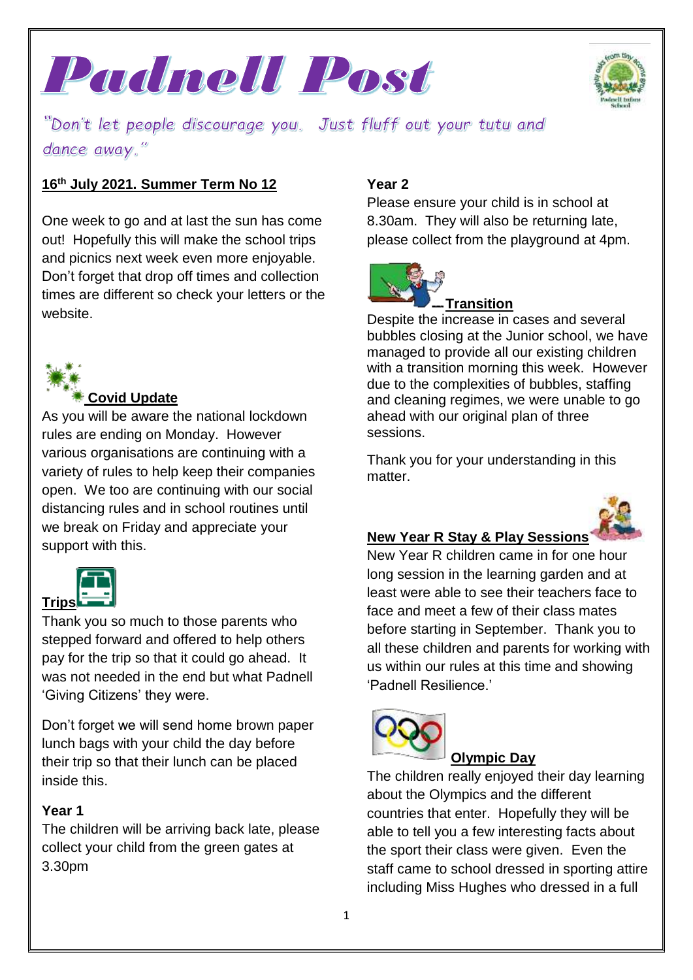



"Don't let people discourage you. Just fluff out your tutu and dance away."

## **16th July 2021. Summer Term No 12**

One week to go and at last the sun has come out! Hopefully this will make the school trips and picnics next week even more enjoyable. Don't forget that drop off times and collection times are different so check your letters or the website.



### **Covid Update**

As you will be aware the national lockdown rules are ending on Monday. However various organisations are continuing with a variety of rules to help keep their companies open. We too are continuing with our social distancing rules and in school routines until we break on Friday and appreciate your support with this.



Thank you so much to those parents who stepped forward and offered to help others pay for the trip so that it could go ahead. It was not needed in the end but what Padnell 'Giving Citizens' they were.

Don't forget we will send home brown paper lunch bags with your child the day before their trip so that their lunch can be placed inside this.

## **Year 1**

The children will be arriving back late, please collect your child from the green gates at 3.30pm

## **Year 2**

Please ensure your child is in school at 8.30am. They will also be returning late, please collect from the playground at 4pm.



## **Transition**

Despite the increase in cases and several bubbles closing at the Junior school, we have managed to provide all our existing children with a transition morning this week. However due to the complexities of bubbles, staffing and cleaning regimes, we were unable to go ahead with our original plan of three sessions.

Thank you for your understanding in this matter.



## **New Year R Stay & Play Sessions**

New Year R children came in for one hour long session in the learning garden and at least were able to see their teachers face to face and meet a few of their class mates before starting in September. Thank you to all these children and parents for working with us within our rules at this time and showing 'Padnell Resilience.'



## **Olympic Day**

The children really enjoyed their day learning about the Olympics and the different countries that enter. Hopefully they will be able to tell you a few interesting facts about the sport their class were given. Even the staff came to school dressed in sporting attire including Miss Hughes who dressed in a full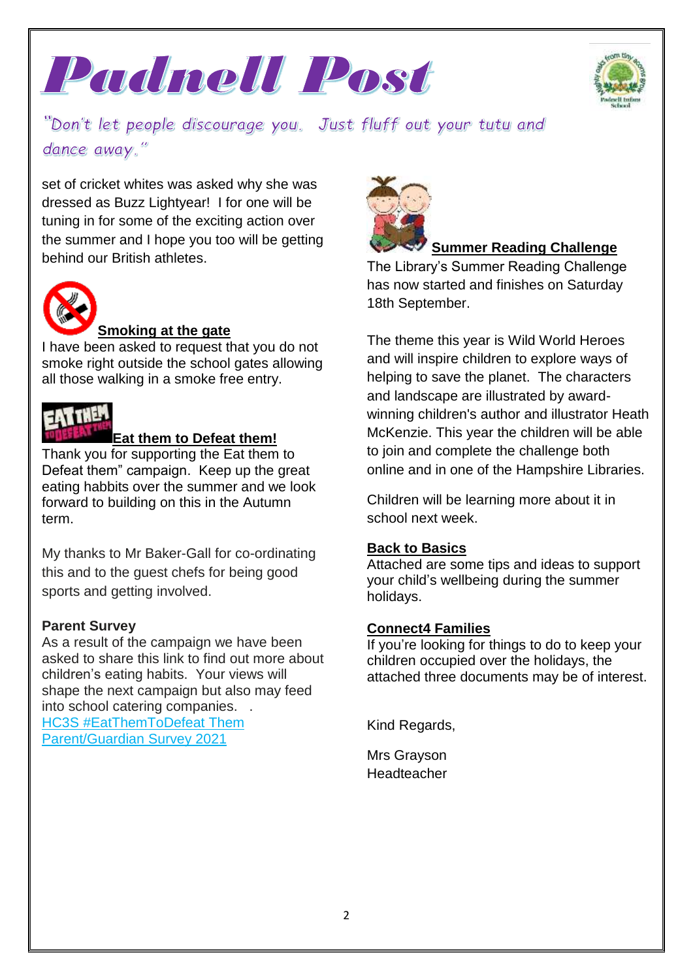



"Don't let people discourage you. Just fluff out your tutu and dance away."

set of cricket whites was asked why she was dressed as Buzz Lightyear! I for one will be tuning in for some of the exciting action over the summer and I hope you too will be getting behind our British athletes.



## **Smoking at the gate**

I have been asked to request that you do not smoke right outside the school gates allowing all those walking in a smoke free entry.



#### **Eat them to Defeat them!**

Thank you for supporting the Eat them to Defeat them" campaign. Keep up the great eating habbits over the summer and we look forward to building on this in the Autumn term.

My thanks to Mr Baker-Gall for co-ordinating this and to the guest chefs for being good sports and getting involved.

## **Parent Survey**

As a result of the campaign we have been asked to share this link to find out more about children's eating habits. Your views will shape the next campaign but also may feed into school catering companies. . HC3S [#EatThemToDefeat](https://ccbshampshirecc.researchfeedback.net/bqjmec) Them [Parent/Guardian](https://ccbshampshirecc.researchfeedback.net/bqjmec) Survey 2021



## **Summer Reading Challenge**

The Library's Summer Reading Challenge has now started and finishes on Saturday 18th September.

The theme this year is Wild World Heroes and will inspire children to explore ways of helping to save the planet. The characters and landscape are illustrated by awardwinning children's author and illustrator Heath McKenzie. This year the children will be able to join and complete the challenge both online and in one of the Hampshire Libraries.

Children will be learning more about it in school next week.

#### **Back to Basics**

Attached are some tips and ideas to support your child's wellbeing during the summer holidays.

#### **Connect4 Families**

If you're looking for things to do to keep your children occupied over the holidays, the attached three documents may be of interest.

Kind Regards,

Mrs Grayson **Headteacher**